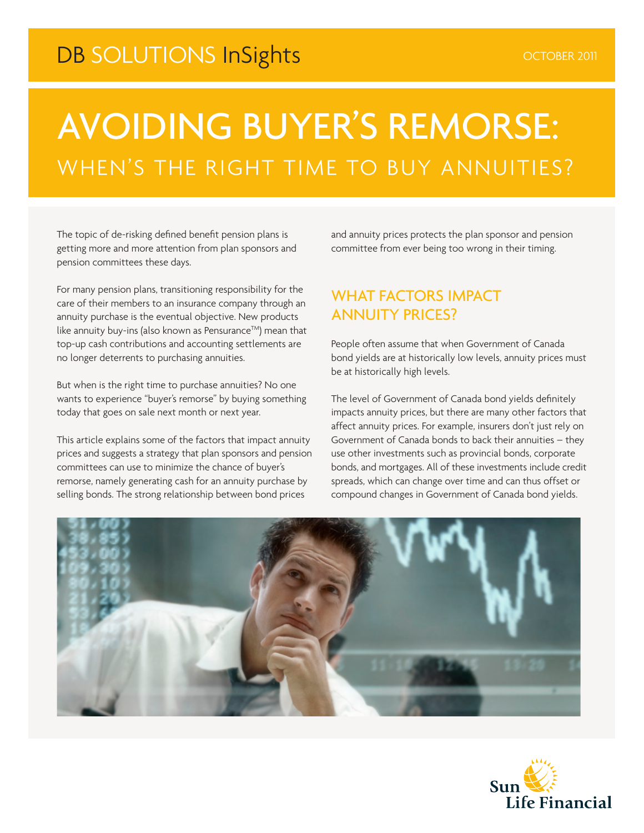## DB SOLUTIONS InSights **CONSTRAINING** CONSER 2011

# AVOIDING BUYER'S REMORSE: WHEN'S THE RIGHT TIME TO BUY ANNUITIES?

The topic of de-risking defined benefit pension plans is getting more and more attention from plan sponsors and pension committees these days.

For many pension plans, transitioning responsibility for the care of their members to an insurance company through an annuity purchase is the eventual objective. New products like annuity buy-ins (also known as Pensurance™) mean that top-up cash contributions and accounting settlements are no longer deterrents to purchasing annuities.

But when is the right time to purchase annuities? No one wants to experience "buyer's remorse" by buying something today that goes on sale next month or next year.

This article explains some of the factors that impact annuity prices and suggests a strategy that plan sponsors and pension committees can use to minimize the chance of buyer's remorse, namely generating cash for an annuity purchase by selling bonds. The strong relationship between bond prices

and annuity prices protects the plan sponsor and pension committee from ever being too wrong in their timing.

#### WHAT FACTORS IMPACT ANNUITY PRICES?

People often assume that when Government of Canada bond yields are at historically low levels, annuity prices must be at historically high levels.

The level of Government of Canada bond yields definitely impacts annuity prices, but there are many other factors that affect annuity prices. For example, insurers don't just rely on Government of Canada bonds to back their annuities – they use other investments such as provincial bonds, corporate bonds, and mortgages. All of these investments include credit spreads, which can change over time and can thus offset or compound changes in Government of Canada bond yields.



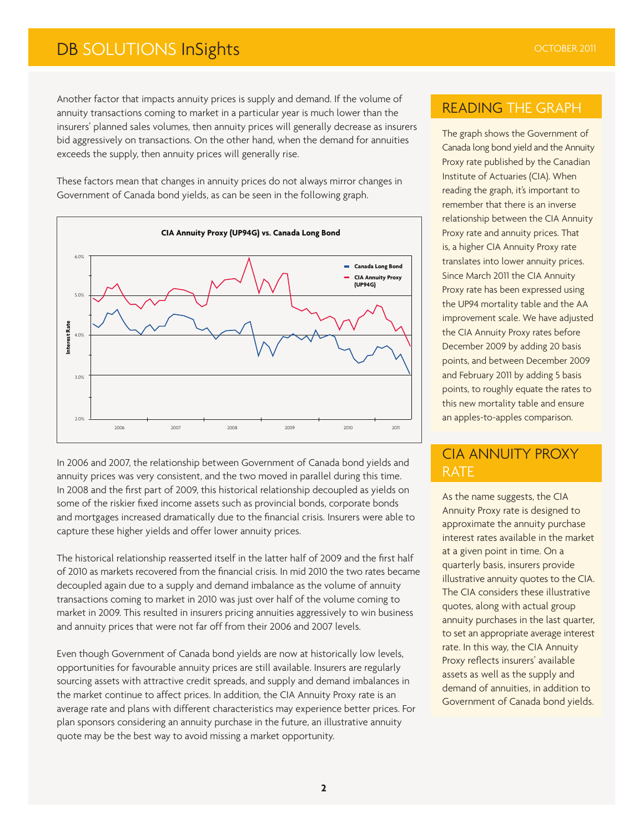### **DB SOLUTIONS InSights OCTOBER 2011**

Another factor that impacts annuity prices is supply and demand. If the volume of annuity transactions coming to market in a particular year is much lower than the insurers' planned sales volumes, then annuity prices will generally decrease as insurers bid aggressively on transactions. On the other hand, when the demand for annuities exceeds the supply, then annuity prices will generally rise.

These factors mean that changes in annuity prices do not always mirror changes in Government of Canada bond yields, as can be seen in the following graph.



In 2006 and 2007, the relationship between Government of Canada bond yields and annuity prices was very consistent, and the two moved in parallel during this time. In 2008 and the first part of 2009, this historical relationship decoupled as yields on some of the riskier fixed income assets such as provincial bonds, corporate bonds and mortgages increased dramatically due to the financial crisis. Insurers were able to capture these higher yields and offer lower annuity prices.

The historical relationship reasserted itself in the latter half of 2009 and the first half of 2010 as markets recovered from the financial crisis. In mid 2010 the two rates became decoupled again due to a supply and demand imbalance as the volume of annuity transactions coming to market in 2010 was just over half of the volume coming to market in 2009. This resulted in insurers pricing annuities aggressively to win business and annuity prices that were not far off from their 2006 and 2007 levels.

Even though Government of Canada bond yields are now at historically low levels, opportunities for favourable annuity prices are still available. Insurers are regularly sourcing assets with attractive credit spreads, and supply and demand imbalances in the market continue to affect prices. In addition, the CIA Annuity Proxy rate is an average rate and plans with different characteristics may experience better prices. For plan sponsors considering an annuity purchase in the future, an illustrative annuity quote may be the best way to avoid missing a market opportunity.

#### READING THE GRAPH

The graph shows the Government of Canada long bond yield and the Annuity Proxy rate published by the Canadian Institute of Actuaries (CIA). When reading the graph, it's important to remember that there is an inverse relationship between the CIA Annuity Proxy rate and annuity prices. That is, a higher CIA Annuity Proxy rate translates into lower annuity prices. Since March 2011 the CIA Annuity Proxy rate has been expressed using the UP94 mortality table and the AA improvement scale. We have adjusted the CIA Annuity Proxy rates before December 2009 by adding 20 basis points, and between December 2009 and February 2011 by adding 5 basis points, to roughly equate the rates to this new mortality table and ensure an apples-to-apples comparison.

#### CIA ANNUITY PROXY RATE

As the name suggests, the CIA Annuity Proxy rate is designed to approximate the annuity purchase interest rates available in the market at a given point in time. On a quarterly basis, insurers provide illustrative annuity quotes to the CIA. The CIA considers these illustrative quotes, along with actual group annuity purchases in the last quarter, to set an appropriate average interest rate. In this way, the CIA Annuity Proxy reflects insurers' available assets as well as the supply and demand of annuities, in addition to Government of Canada bond yields.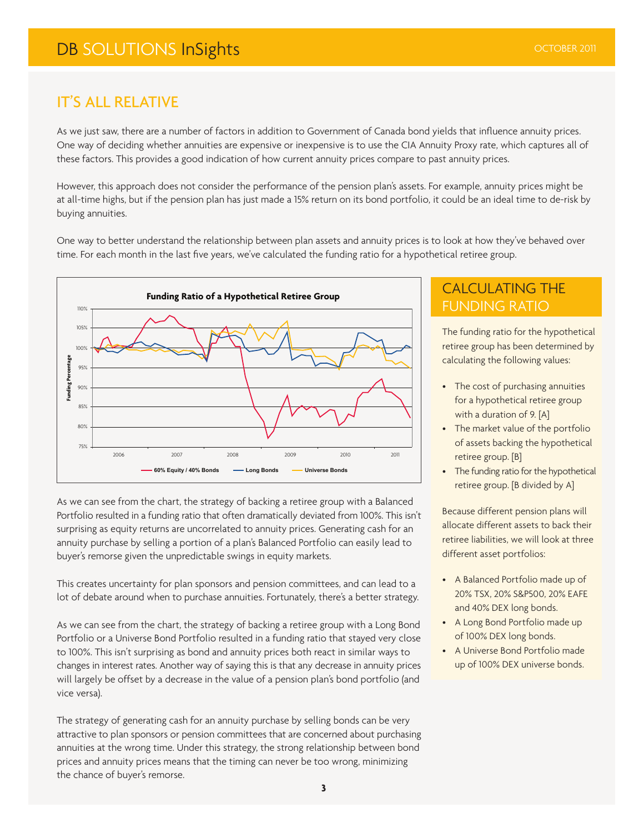#### IT'S ALL RELATIVE

As we just saw, there are a number of factors in addition to Government of Canada bond yields that influence annuity prices. One way of deciding whether annuities are expensive or inexpensive is to use the CIA Annuity Proxy rate, which captures all of these factors. This provides a good indication of how current annuity prices compare to past annuity prices.

However, this approach does not consider the performance of the pension plan's assets. For example, annuity prices might be at all-time highs, but if the pension plan has just made a 15% return on its bond portfolio, it could be an ideal time to de-risk by buying annuities.

One way to better understand the relationship between plan assets and annuity prices is to look at how they've behaved over time. For each month in the last five years, we've calculated the funding ratio for a hypothetical retiree group.



As we can see from the chart, the strategy of backing a retiree group with a Balanced Portfolio resulted in a funding ratio that often dramatically deviated from 100%. This isn't surprising as equity returns are uncorrelated to annuity prices. Generating cash for an annuity purchase by selling a portion of a plan's Balanced Portfolio can easily lead to buyer's remorse given the unpredictable swings in equity markets.

This creates uncertainty for plan sponsors and pension committees, and can lead to a lot of debate around when to purchase annuities. Fortunately, there's a better strategy.

As we can see from the chart, the strategy of backing a retiree group with a Long Bond Portfolio or a Universe Bond Portfolio resulted in a funding ratio that stayed very close to 100%. This isn't surprising as bond and annuity prices both react in similar ways to changes in interest rates. Another way of saying this is that any decrease in annuity prices will largely be offset by a decrease in the value of a pension plan's bond portfolio (and vice versa).

The strategy of generating cash for an annuity purchase by selling bonds can be very attractive to plan sponsors or pension committees that are concerned about purchasing annuities at the wrong time. Under this strategy, the strong relationship between bond prices and annuity prices means that the timing can never be too wrong, minimizing the chance of buyer's remorse.

#### CALCULATING THE FUNDING RATIO

The funding ratio for the hypothetical retiree group has been determined by calculating the following values:

- The cost of purchasing annuities for a hypothetical retiree group with a duration of 9. [A]
- The market value of the portfolio of assets backing the hypothetical retiree group. [B]
- The funding ratio for the hypothetical retiree group. [B divided by A]

Because different pension plans will allocate different assets to back their retiree liabilities, we will look at three different asset portfolios:

- A Balanced Portfolio made up of 20% TSX, 20% S&P500, 20% EAFE and 40% DEX long bonds.
- A Long Bond Portfolio made up of 100% DEX long bonds.
- A Universe Bond Portfolio made up of 100% DEX universe bonds.